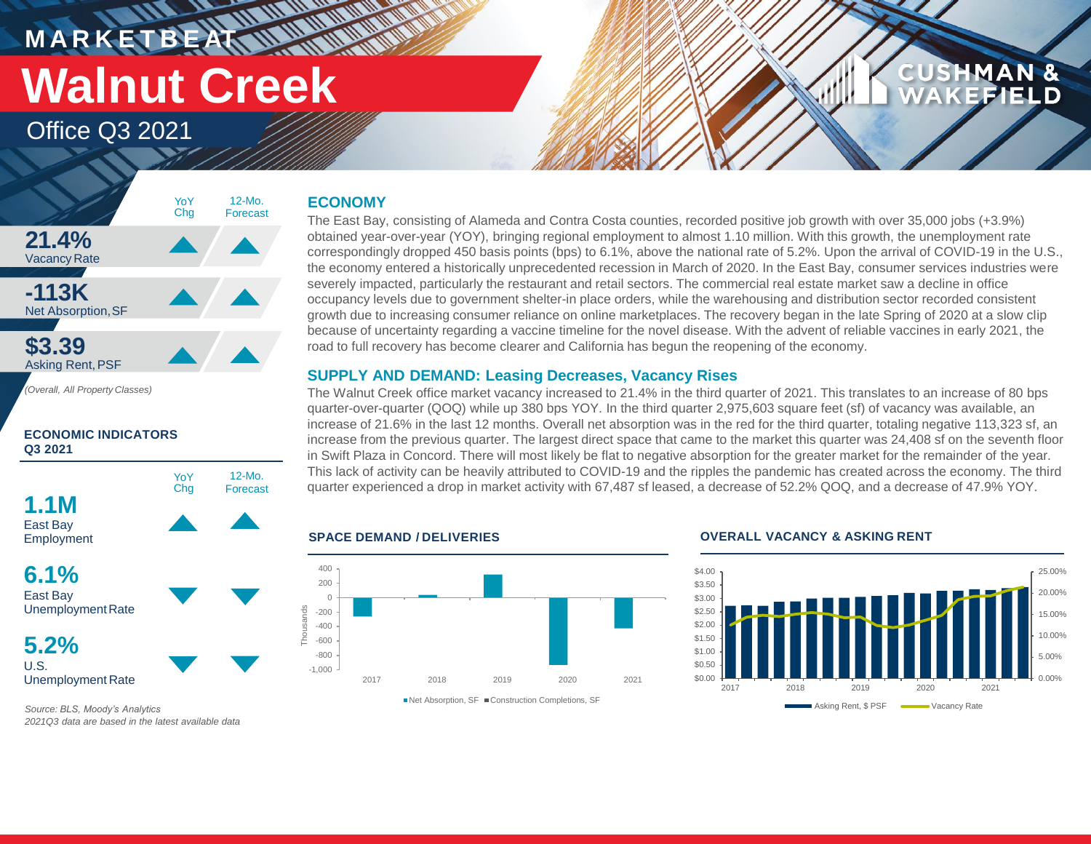**M A R K E T B E AT Walnut Creek**

> YoY Chg

### Office Q3 2021

**21.4%** Vacancy Rate

**-113K** Net Absorption,SF

**\$3.39** Asking Rent,PSF

*(Overall, All Property Classes)*

**ECONOMIC INDICATORS** 

### **ECONOMY**

**WALLER** 

The East Bay, consisting of Alameda and Contra Costa counties, recorded positive job growth with over 35,000 jobs (+3.9%) obtained year-over-year (YOY), bringing regional employment to almost 1.10 million. With this growth, the unemployment rate correspondingly dropped 450 basis points (bps) to 6.1%, above the national rate of 5.2%. Upon the arrival of COVID-19 in the U.S., the economy entered a historically unprecedented recession in March of 2020. In the East Bay, consumer services industries were severely impacted, particularly the restaurant and retail sectors. The commercial real estate market saw a decline in office occupancy levels due to government shelter-in place orders, while the warehousing and distribution sector recorded consistent growth due to increasing consumer reliance on online marketplaces. The recovery began in the late Spring of 2020 at a slow clip because of uncertainty regarding a vaccine timeline for the novel disease. With the advent of reliable vaccines in early 2021, the road to full recovery has become clearer and California has begun the reopening of the economy.

### **SUPPLY AND DEMAND: Leasing Decreases, Vacancy Rises**

The Walnut Creek office market vacancy increased to 21.4% in the third quarter of 2021. This translates to an increase of 80 bps quarter-over-quarter (QOQ) while up 380 bps YOY. In the third quarter 2,975,603 square feet (sf) of vacancy was available, an increase of 21.6% in the last 12 months. Overall net absorption was in the red for the third quarter, totaling negative 113,323 sf, an increase from the previous quarter. The largest direct space that came to the market this quarter was 24,408 sf on the seventh floor in Swift Plaza in Concord. There will most likely be flat to negative absorption for the greater market for the remainder of the year. This lack of activity can be heavily attributed to COVID-19 and the ripples the pandemic has created across the economy. The third quarter experienced a drop in market activity with 67,487 sf leased, a decrease of 52.2% QOQ, and a decrease of 47.9% YOY.



### **SPACE DEMAND / DELIVERIES OVERALL VACANCY & ASKING RENT**



*Source: BLS, Moody's Analytics 2021Q3 data are based in the latest available data*

Unemployment Rate **5.2%**

12-Mo. Forecast

YoY Chg

12-Mo. Forecast

U.S. Unemployment Rate

**6.1%** East Bay

**1.1M** East Bay Employment

**Q3 2021**

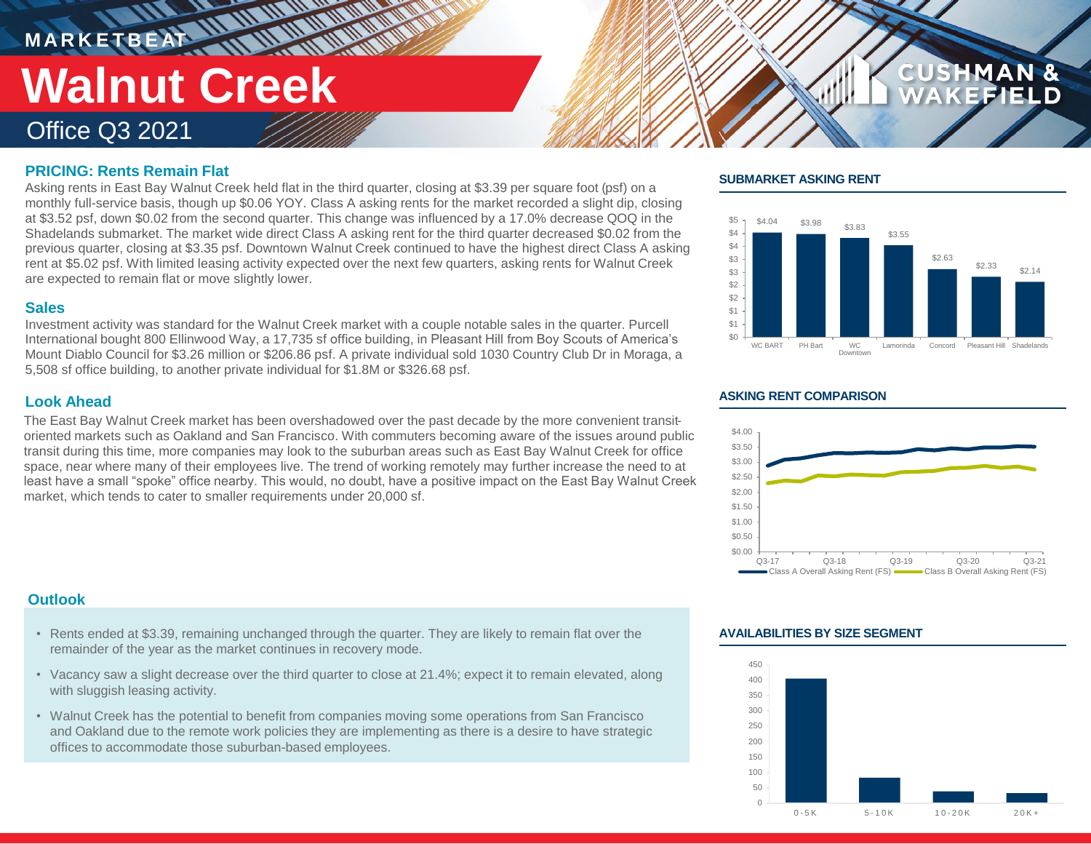# **MARKETBEAT 11 11 11 11 11 11 Walnut Creek**

Office Q3 2021

### **PRICING: Rents Remain Flat**

Asking rents in East Bay Walnut Creek held flat in the third quarter, closing at \$3.39 per square foot (psf) on a monthly full-service basis, though up \$0.06 YOY. Class A asking rents for the market recorded a slight dip, closing at \$3.52 psf, down \$0.02 from the second quarter. This change was influenced by a 17.0% decrease QOQ in the Shadelands submarket. The market wide direct Class A asking rent for the third quarter decreased \$0.02 from the previous quarter, closing at \$3.35 psf. Downtown Walnut Creek continued to have the highest direct Class A asking rent at \$5.02 psf. With limited leasing activity expected over the next few quarters, asking rents for Walnut Creek are expected to remain flat or move slightly lower.

### **Sales**

Investment activity was standard for the Walnut Creek market with a couple notable sales in the quarter. Purcell International bought 800 Ellinwood Way, a 17,735 sf office building, in Pleasant Hill from Boy Scouts of America's Mount Diablo Council for \$3.26 million or \$206.86 psf. A private individual sold 1030 Country Club Dr in Moraga, a 5,508 sf office building, to another private individual for \$1.8M or \$326.68 psf.

### **Look Ahead**

The East Bay Walnut Creek market has been overshadowed over the past decade by the more convenient transitoriented markets such as Oakland and San Francisco. With commuters becoming aware of the issues around public transit during this time, more companies may look to the suburban areas such as East Bay Walnut Creek for office space, near where many of their employees live. The trend of working remotely may further increase the need to at least have a small "spoke" office nearby. This would, no doubt, have a positive impact on the East Bay Walnut Creek market, which tends to cater to smaller requirements under 20,000 sf.

### **SUBMARKET ASKING RENT**



**CUSHMAN &** 

### **ASKING RENT COMPARISON**



### **Outlook**

- Rents ended at \$3.39, remaining unchanged through the quarter. They are likely to remain flat over the remainder of the year as the market continues in recovery mode.
- Vacancy saw a slight decrease over the third quarter to close at 21.4%; expect it to remain elevated, along with sluggish leasing activity.
- Walnut Creek has the potential to benefit from companies moving some operations from San Francisco and Oakland due to the remote work policies they are implementing as there is a desire to have strategic offices to accommodate those suburban-based employees.

### **AVAILABILITIES BY SIZE SEGMENT**

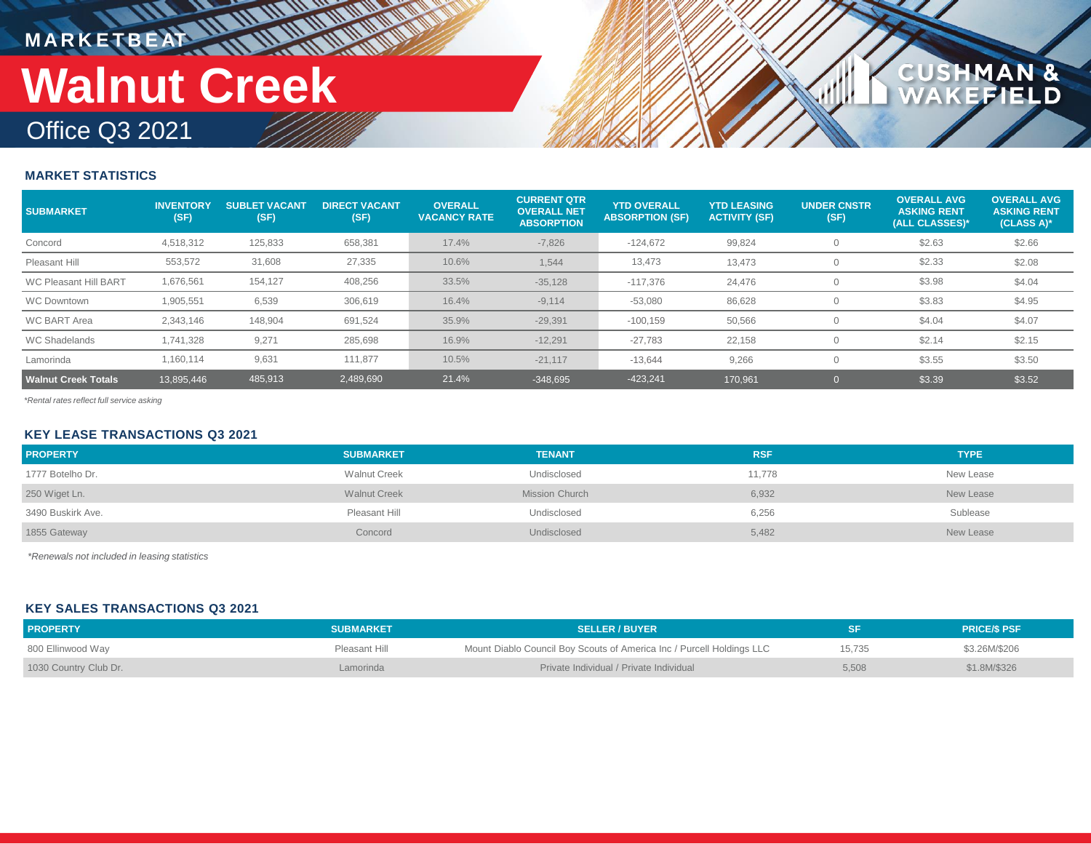## **MARKETBEAT 11 11 11 11 11 11 11 11 Walnut Creek**

## Office Q3 2021

### **MARKET STATISTICS**

| <b>SUBMARKET</b>             | <b>INVENTORY</b><br>(SF) | <b>SUBLET VACANT</b><br>(SF) | <b>DIRECT VACANT.</b><br>(SF) | <b>OVERALL</b><br><b>VACANCY RATE</b> | <b>CURRENT QTR</b><br><b>OVERALL NET</b><br><b>ABSORPTION</b> | <b>YTD OVERALL</b><br><b>ABSORPTION (SF)</b> | <b>YTD LEASING</b><br><b>ACTIVITY (SF)</b> | <b>UNDER CNSTR</b><br>(SF) | <b>OVERALL AVG</b><br><b>ASKING RENT</b><br>(ALL CLASSES)* | <b>OVERALL AVG</b><br><b>ASKING RENT</b><br>$(CLASS A)$ * |
|------------------------------|--------------------------|------------------------------|-------------------------------|---------------------------------------|---------------------------------------------------------------|----------------------------------------------|--------------------------------------------|----------------------------|------------------------------------------------------------|-----------------------------------------------------------|
| Concord                      | 4,518,312                | 125,833                      | 658,381                       | 17.4%                                 | $-7,826$                                                      | $-124,672$                                   | 99,824                                     |                            | \$2.63                                                     | \$2.66                                                    |
| Pleasant Hill                | 553,572                  | 31,608                       | 27,335                        | 10.6%                                 | 1,544                                                         | 13,473                                       | 13,473                                     |                            | \$2.33                                                     | \$2.08                                                    |
| <b>WC Pleasant Hill BART</b> | 1,676,561                | 154,127                      | 408,256                       | 33.5%                                 | $-35,128$                                                     | -117.376                                     | 24,476                                     |                            | \$3.98                                                     | \$4.04                                                    |
| <b>WC Downtown</b>           | 1,905,551                | 6,539                        | 306,619                       | 16.4%                                 | $-9,114$                                                      | $-53,080$                                    | 86,628                                     |                            | \$3.83                                                     | \$4.95                                                    |
| <b>WC BART Area</b>          | 2,343,146                | 148,904                      | 691,524                       | 35.9%                                 | $-29,391$                                                     | $-100, 159$                                  | 50,566                                     |                            | \$4.04                                                     | \$4.07                                                    |
| <b>WC Shadelands</b>         | 1,741,328                | 9,271                        | 285,698                       | 16.9%                                 | $-12,291$                                                     | $-27,783$                                    | 22,158                                     |                            | \$2.14                                                     | \$2.15                                                    |
| Lamorinda                    | 1,160,114                | 9,631                        | 111,877                       | 10.5%                                 | $-21,117$                                                     | $-13,644$                                    | 9,266                                      |                            | \$3.55                                                     | \$3.50                                                    |
| <b>Walnut Creek Totals</b>   | 13,895,446               | 485,913                      | 2,489,690                     | 21.4%                                 | $-348.695$                                                    | $-423,241$                                   | 170.961                                    |                            | \$3.39                                                     | \$3.52                                                    |

**CUSHMAN &<br>WAKEFIELD** 

*\*Rental rates reflect full service asking*

### **KEY LEASE TRANSACTIONS Q3 2021**

| <b>PROPERTY</b>   | <b>SUBMARKET</b>    | <b>TENANT</b>  | <b>RSF</b> | <b>TYPE</b> |
|-------------------|---------------------|----------------|------------|-------------|
| 1777 Botelho Dr.  | <b>Walnut Creek</b> | Undisclosed    | 11,778     | New Lease   |
| 250 Wiget Ln.     | <b>Walnut Creek</b> | Mission Church | 6,932      | New Lease   |
| 3490 Buskirk Ave. | Pleasant Hill       | Undisclosed    | 6,256      | Sublease    |
| 1855 Gateway      | Concord             | Undisclosed    | 5,482      | New Lease   |

*\*Renewals not included in leasing statistics*

### **KEY SALES TRANSACTIONS Q3 2021**

| <b>PROPERTY</b>       | <b>SUBMARKET</b> | <b>SELLER / BUYER</b>                                                 |        | <b>PRICE/S PSF</b> |
|-----------------------|------------------|-----------------------------------------------------------------------|--------|--------------------|
| 800 Ellinwood Way     | Pleasant Hill    | Mount Diablo Council Boy Scouts of America Inc / Purcell Holdings LLC | 15.735 | \$3.26M/\$206      |
| 1030 Country Club Dr. | Lamorinda        | Private Individual / Private Individual                               | 5,508  | \$1.8M/\$326       |